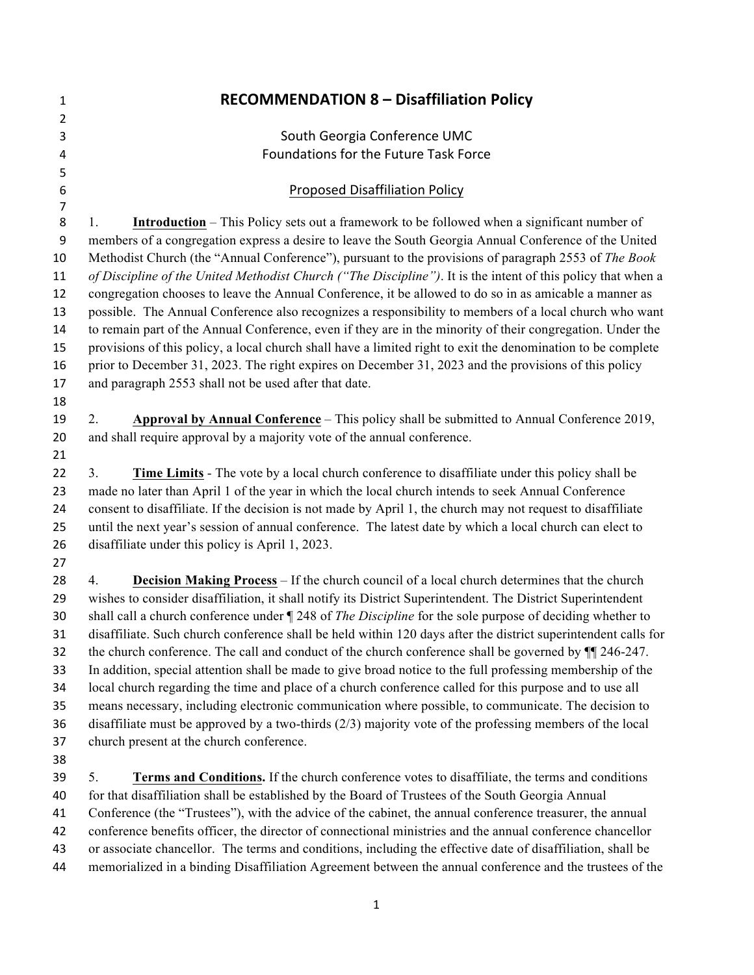| 1              | <b>RECOMMENDATION 8 - Disaffiliation Policy</b>                                                                 |
|----------------|-----------------------------------------------------------------------------------------------------------------|
| $\overline{2}$ |                                                                                                                 |
| 3              | South Georgia Conference UMC                                                                                    |
| 4              | Foundations for the Future Task Force                                                                           |
| 5              |                                                                                                                 |
| 6              | <b>Proposed Disaffiliation Policy</b>                                                                           |
| 7              |                                                                                                                 |
| 8              | <b>Introduction</b> – This Policy sets out a framework to be followed when a significant number of<br>1.        |
| 9              | members of a congregation express a desire to leave the South Georgia Annual Conference of the United           |
| 10             | Methodist Church (the "Annual Conference"), pursuant to the provisions of paragraph 2553 of The Book            |
| 11             | of Discipline of the United Methodist Church ("The Discipline"). It is the intent of this policy that when a    |
| 12             | congregation chooses to leave the Annual Conference, it be allowed to do so in as amicable a manner as          |
| 13             | possible. The Annual Conference also recognizes a responsibility to members of a local church who want          |
| 14             | to remain part of the Annual Conference, even if they are in the minority of their congregation. Under the      |
| 15             | provisions of this policy, a local church shall have a limited right to exit the denomination to be complete    |
| 16             | prior to December 31, 2023. The right expires on December 31, 2023 and the provisions of this policy            |
| 17             | and paragraph 2553 shall not be used after that date.                                                           |
| 18             |                                                                                                                 |
| 19             | Approval by Annual Conference - This policy shall be submitted to Annual Conference 2019,<br>2.                 |
| 20             | and shall require approval by a majority vote of the annual conference.                                         |
| 21             |                                                                                                                 |
| 22             | Time Limits - The vote by a local church conference to disaffiliate under this policy shall be<br>3.            |
| 23             | made no later than April 1 of the year in which the local church intends to seek Annual Conference              |
| 24             | consent to disaffiliate. If the decision is not made by April 1, the church may not request to disaffiliate     |
| 25             | until the next year's session of annual conference. The latest date by which a local church can elect to        |
| 26             | disaffiliate under this policy is April 1, 2023.                                                                |
| 27             |                                                                                                                 |
| 28             | <b>Decision Making Process</b> – If the church council of a local church determines that the church<br>4.       |
| 29             | wishes to consider disaffiliation, it shall notify its District Superintendent. The District Superintendent     |
| 30             | shall call a church conference under ¶ 248 of <i>The Discipline</i> for the sole purpose of deciding whether to |
| 31             | disaffiliate. Such church conference shall be held within 120 days after the district superintendent calls for  |
| 32             | the church conference. The call and conduct of the church conference shall be governed by $\P$ $\Box$ 246-247.  |
| 33             | In addition, special attention shall be made to give broad notice to the full professing membership of the      |
| 34             | local church regarding the time and place of a church conference called for this purpose and to use all         |
| 35             | means necessary, including electronic communication where possible, to communicate. The decision to             |
| 36             | disaffiliate must be approved by a two-thirds $(2/3)$ majority vote of the professing members of the local      |
| 37             | church present at the church conference.                                                                        |
| 38             |                                                                                                                 |
| 39             | 5.<br>Terms and Conditions. If the church conference votes to disaffiliate, the terms and conditions            |
| 40             | for that disaffiliation shall be established by the Board of Trustees of the South Georgia Annual               |
| 41             | Conference (the "Trustees"), with the advice of the cabinet, the annual conference treasurer, the annual        |
| 42             | conference benefits officer, the director of connectional ministries and the annual conference chancellor       |
| 43             | or associate chancellor. The terms and conditions, including the effective date of disaffiliation, shall be     |
| 44             | memorialized in a binding Disaffiliation Agreement between the annual conference and the trustees of the        |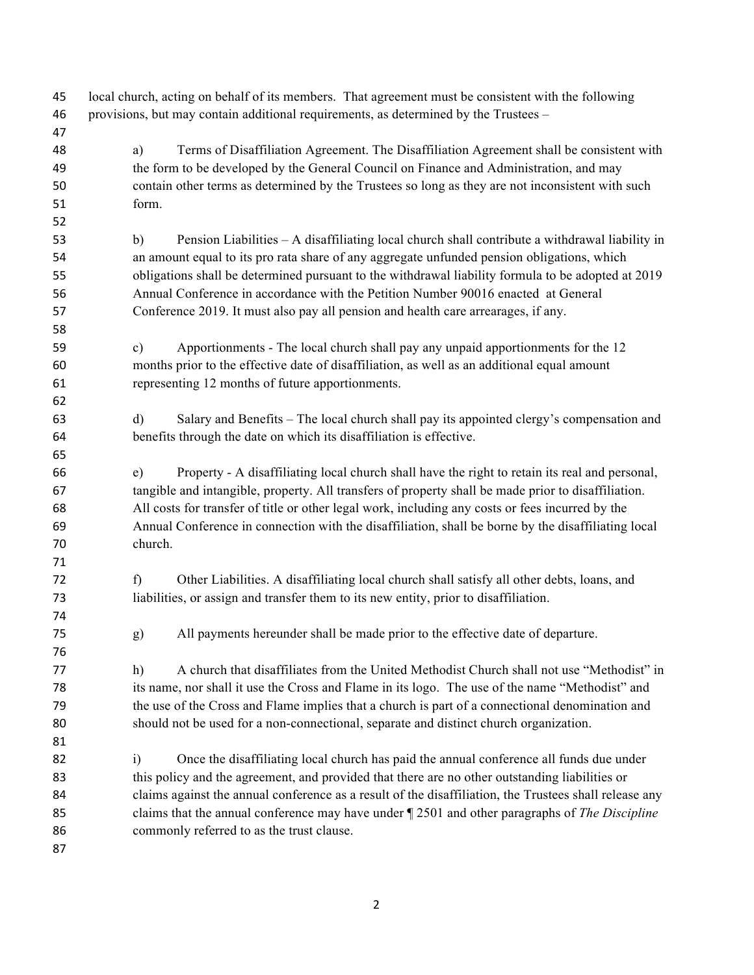local church, acting on behalf of its members. That agreement must be consistent with the following provisions, but may contain additional requirements, as determined by the Trustees –

- 
- a) Terms of Disaffiliation Agreement. The Disaffiliation Agreement shall be consistent with the form to be developed by the General Council on Finance and Administration, and may contain other terms as determined by the Trustees so long as they are not inconsistent with such form. b) Pension Liabilities – A disaffiliating local church shall contribute a withdrawal liability in an amount equal to its pro rata share of any aggregate unfunded pension obligations, which obligations shall be determined pursuant to the withdrawal liability formula to be adopted at 2019 Annual Conference in accordance with the Petition Number 90016 enacted at General Conference 2019. It must also pay all pension and health care arrearages, if any. c) Apportionments - The local church shall pay any unpaid apportionments for the 12 months prior to the effective date of disaffiliation, as well as an additional equal amount representing 12 months of future apportionments. d) Salary and Benefits – The local church shall pay its appointed clergy's compensation and benefits through the date on which its disaffiliation is effective. e) Property - A disaffiliating local church shall have the right to retain its real and personal, tangible and intangible, property. All transfers of property shall be made prior to disaffiliation. All costs for transfer of title or other legal work, including any costs or fees incurred by the Annual Conference in connection with the disaffiliation, shall be borne by the disaffiliating local church. f) Other Liabilities. A disaffiliating local church shall satisfy all other debts, loans, and liabilities, or assign and transfer them to its new entity, prior to disaffiliation. g) All payments hereunder shall be made prior to the effective date of departure. h) A church that disaffiliates from the United Methodist Church shall not use "Methodist" in its name, nor shall it use the Cross and Flame in its logo. The use of the name "Methodist" and the use of the Cross and Flame implies that a church is part of a connectional denomination and should not be used for a non-connectional, separate and distinct church organization. i) Once the disaffiliating local church has paid the annual conference all funds due under this policy and the agreement, and provided that there are no other outstanding liabilities or claims against the annual conference as a result of the disaffiliation, the Trustees shall release any claims that the annual conference may have under ¶ 2501 and other paragraphs of *The Discipline*  86 commonly referred to as the trust clause.